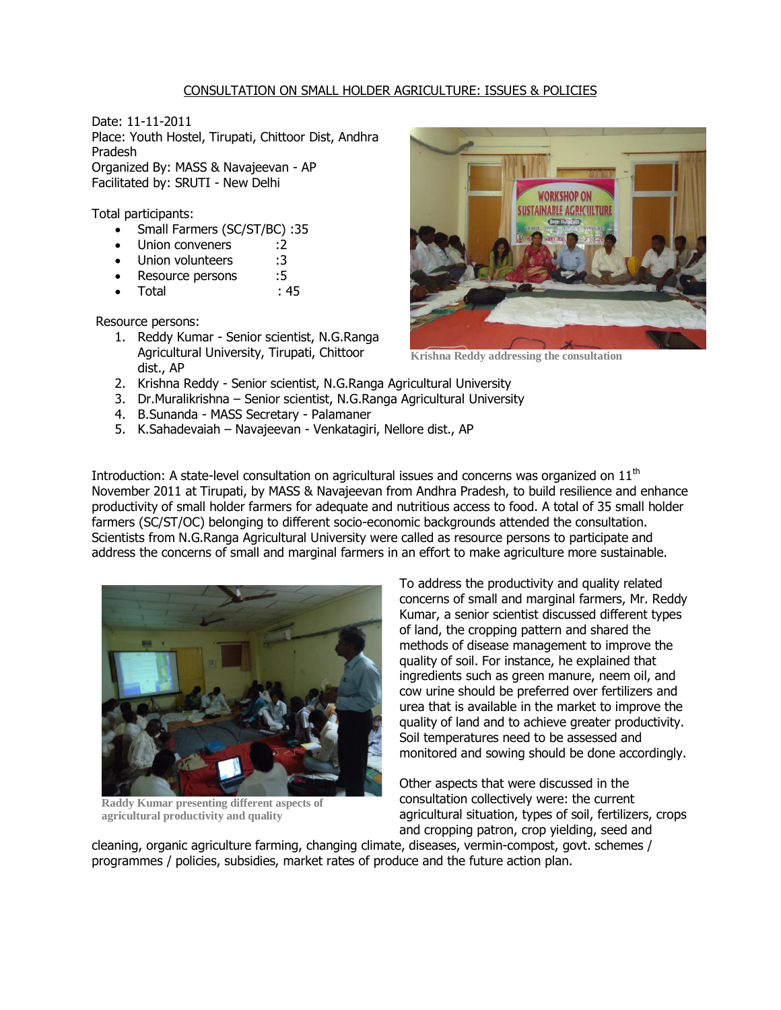## CONSULTATION ON SMALL HOLDER AGRICULTURE: ISSUES & POLICIES

Date: 11-11-2011 Place: Youth Hostel, Tirupati, Chittoor Dist, Andhra Pradesh Organized By: MASS & Navajeevan - AP Facilitated by: SRUTI - New Delhi

Total participants:

- Small Farmers (SC/ST/BC) :35
- Union conveners :2
- Union volunteers :3
- Resource persons :5
- Total : 45

Resource persons:

- 1. Reddy Kumar Senior scientist, N.G.Ranga Agricultural University, Tirupati, Chittoor dist., AP
- 2. Krishna Reddy Senior scientist, N.G.Ranga Agricultural University
- 3. Dr.Muralikrishna Senior scientist, N.G.Ranga Agricultural University
- 4. B.Sunanda MASS Secretary Palamaner
- 5. K.Sahadevaiah Navajeevan Venkatagiri, Nellore dist., AP



**Krishna Reddy addressing the consultation**

Introduction: A state-level consultation on agricultural issues and concerns was organized on  $11<sup>th</sup>$ November 2011 at Tirupati, by MASS & Navajeevan from Andhra Pradesh, to build resilience and enhance productivity of small holder farmers for adequate and nutritious access to food. A total of 35 small holder farmers (SC/ST/OC) belonging to different socio-economic backgrounds attended the consultation. Scientists from N.G.Ranga Agricultural University were called as resource persons to participate and address the concerns of small and marginal farmers in an effort to make agriculture more sustainable.



**Raddy Kumar presenting different aspects of agricultural productivity and quality**

To address the productivity and quality related concerns of small and marginal farmers, Mr. Reddy Kumar, a senior scientist discussed different types of land, the cropping pattern and shared the methods of disease management to improve the quality of soil. For instance, he explained that ingredients such as green manure, neem oil, and cow urine should be preferred over fertilizers and urea that is available in the market to improve the quality of land and to achieve greater productivity. Soil temperatures need to be assessed and monitored and sowing should be done accordingly.

Other aspects that were discussed in the consultation collectively were: the current agricultural situation, types of soil, fertilizers, crops and cropping patron, crop yielding, seed and

cleaning, organic agriculture farming, changing climate, diseases, vermin-compost, govt. schemes / programmes / policies, subsidies, market rates of produce and the future action plan.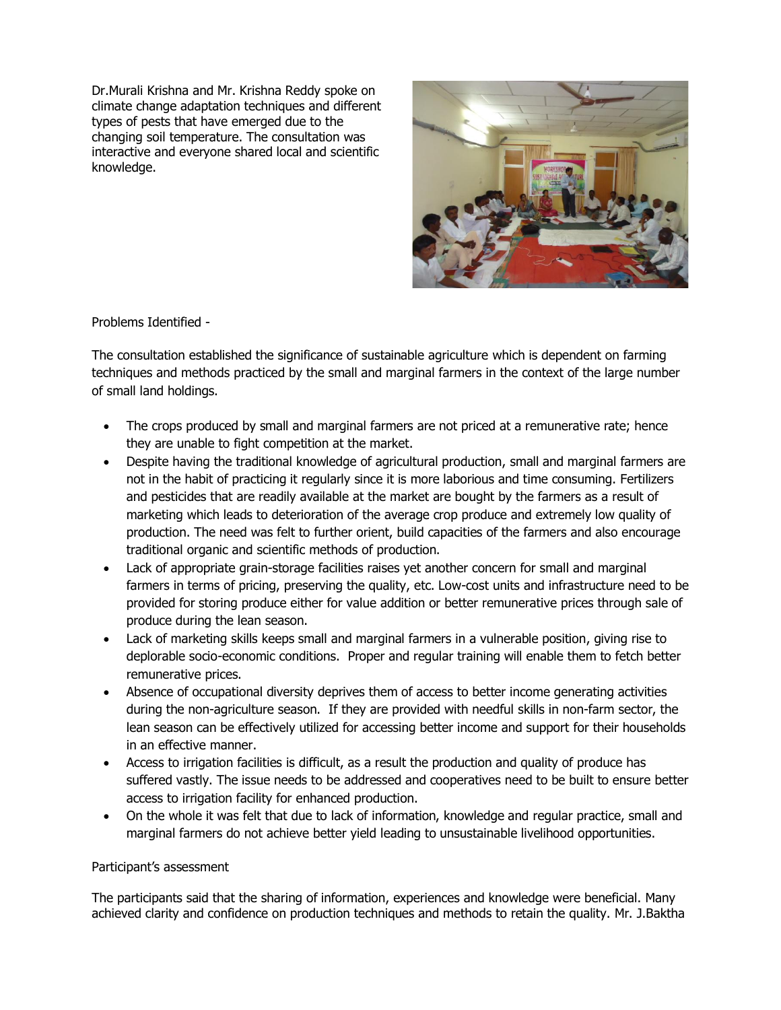Dr.Murali Krishna and Mr. Krishna Reddy spoke on climate change adaptation techniques and different types of pests that have emerged due to the changing soil temperature. The consultation was interactive and everyone shared local and scientific knowledge.



Problems Identified -

The consultation established the significance of sustainable agriculture which is dependent on farming techniques and methods practiced by the small and marginal farmers in the context of the large number of small land holdings.

- The crops produced by small and marginal farmers are not priced at a remunerative rate; hence they are unable to fight competition at the market.
- Despite having the traditional knowledge of agricultural production, small and marginal farmers are not in the habit of practicing it regularly since it is more laborious and time consuming. Fertilizers and pesticides that are readily available at the market are bought by the farmers as a result of marketing which leads to deterioration of the average crop produce and extremely low quality of production. The need was felt to further orient, build capacities of the farmers and also encourage traditional organic and scientific methods of production.
- Lack of appropriate grain-storage facilities raises yet another concern for small and marginal farmers in terms of pricing, preserving the quality, etc. Low-cost units and infrastructure need to be provided for storing produce either for value addition or better remunerative prices through sale of produce during the lean season.
- Lack of marketing skills keeps small and marginal farmers in a vulnerable position, giving rise to deplorable socio-economic conditions. Proper and regular training will enable them to fetch better remunerative prices.
- Absence of occupational diversity deprives them of access to better income generating activities during the non-agriculture season. If they are provided with needful skills in non-farm sector, the lean season can be effectively utilized for accessing better income and support for their households in an effective manner.
- Access to irrigation facilities is difficult, as a result the production and quality of produce has suffered vastly. The issue needs to be addressed and cooperatives need to be built to ensure better access to irrigation facility for enhanced production.
- On the whole it was felt that due to lack of information, knowledge and regular practice, small and marginal farmers do not achieve better yield leading to unsustainable livelihood opportunities.

## Participant's assessment

The participants said that the sharing of information, experiences and knowledge were beneficial. Many achieved clarity and confidence on production techniques and methods to retain the quality. Mr. J.Baktha